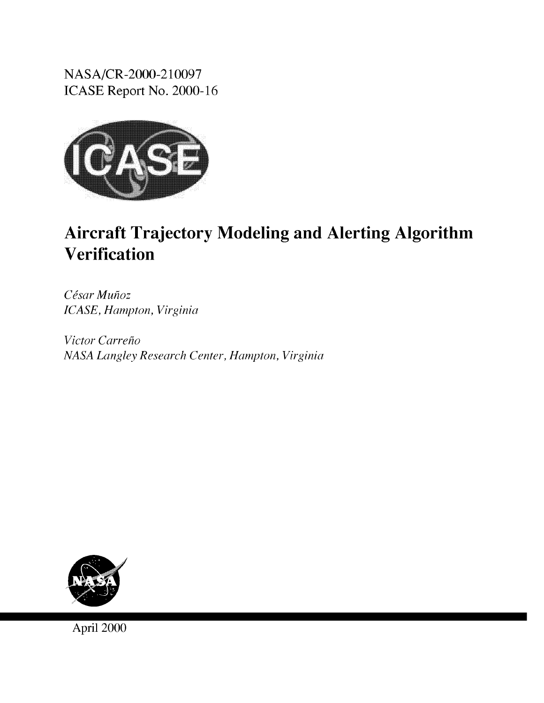NASA/CR-2000-210097 ICASE Report No. 2000-16



# Aircraft Trajectory Modeling and Alerting Algorithm Verification

*Cdsar Muhoz ICASE, Hampton, Virginia*

*Victor Carreho NASA Langley Research Center, Hampton, Virginia*



April 2000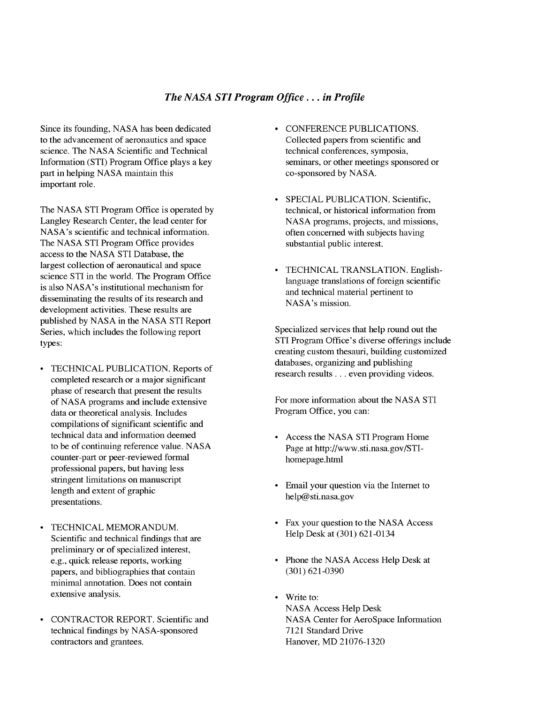## *The NASA STI Program Office... in Profile*

Since its founding, **NASA** has been dedicated to the advancement of aeronautics and space science. The NASA Scientific and Technical Information (STI) Program Office plays a key part in helping NASA maintain this important role.

The **NASA** STI Program Office is operated by Langley Research Center, the lead center for NASA's scientific and technical information. The NASA STI Program Office provides access to the NASA STI Database, the largest collection of aeronautical and space science STI in the world. The Program Office is also NASA's institutional mechanism for disseminating the results of its research and development activities. These results are published by NASA in the NASA STI Report Series, which includes the following report types:

- TECHNICAL PUBLICATION. Reports of completed research or a major significant phase of research that present the results of NASA programs and include extensive data or theoretical analysis. Includes compilations of significant scientific and technical data and information deemed to be of continuing reference value. NASA counter-part or peer-reviewed formal professional papers, but having less stringent limitations on manuscript length and extent of graphic presentations.
- TECHNICAL MEMORANDUM. Scientific and technical findings that are preliminary or of specialized interest, e.g., quick release reports, working papers, and bibliographies that contain minimal annotation. Does not contain extensive analysis.
- CONTRACTOR REPORT. Scientific and  $\bullet$ technical findings by NASA-sponsored contractors and grantees.
- CONFERENCE PUBLICATIONS. Collected papers from scientific and technical conferences, symposia, seminars, or other meetings sponsored or co-sponsored by NASA.
- SPECIAL PUBLICATION. Scientific, technical, or historical information from NASA programs, projects, and missions, often concerned with subjects having substantial public interest.
- TECHNICAL TRANSLATION. Englishlanguage translations of foreign scientific and technical material pertinent to NASA's mission.

Specialized services that help round out the STI Program Office's diverse offerings include creating custom thesauri, building customized databases, organizing and publishing research results.., even providing videos.

For more information about the NASA STI Program Office, you can:

- Access the NASA STI Program Home Page at http://www.sti.nasa.gov/STIhomepage.html
- Email your question via the Internet to help@ sti.nasa.gov
- Fax your question to the NASA Access Help Desk at (301) 621-0134
- Phone the NASA Access Help Desk at (301) 621-0390
- Write to: NASA Access Help Desk NASA Center for AeroSpace Information 7121 Standard Drive Hanover, MD 21076-1320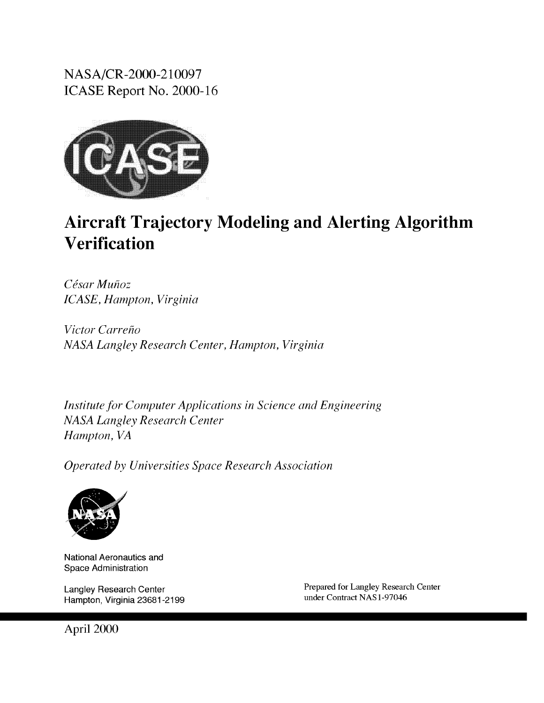NASA/CR-2000-210097 ICASE Report No. 2000-16



## Aircraft Trajectory Modeling and Alerting Algorithm Verification

*Cdsar Muhoz ICASE, Hampton, Virginia*

*Victor Carreho NASA Langley Research Center, Hampton, Virginia*

*Institute for Computer Applications in Science* and *Engineering NASA Langley Research Center Hampton, VA*

*Operated by Universities Space Research Association*



National Aeronautics and Space Administration

Langley Research Center Hampton, Virginia 23681-2199 Prepared for Langley Research Center under Contract NAS 1-97046

April 2000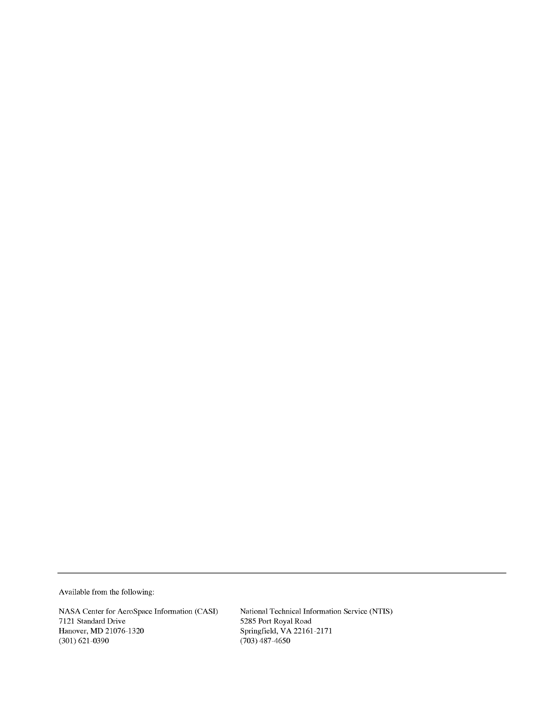Available from the following:

NASA Center for AeroSpace Information (CASI) 7121 Standard Drive Hanover, MD 21076-1320 (301) 621 0390

National Technical Information Service (NTIS) 5285 Port Royal Roa Spfingfield, VA22161 2171 (703) 487 4650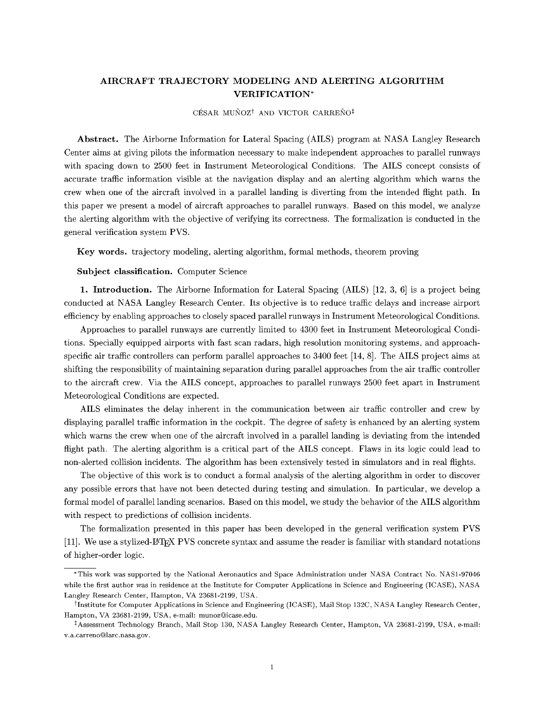## AIRCRAFT TRAJECTORY MODELING AND ALERTING ALGORITHM VERIFICATION\*

CÉSAR MUÑOZ<sup>†</sup> AND VICTOR CARREÑO<sup>‡</sup>

Abstract. The Airborne Information for Lateral Spacing (AILS) program at NASA Langley Research Center aims at giving pilots the information necessary to make independent approaches to parallel runways with spacing down to 2500 feet in Instrument Meteorological Conditions. The AILS concept consists of accurate traffic information visible at the navigation display and an alerting algorithm which warns the crew when one of the aircraft involved in a parallel landing is diverting from the intended flight path. In this paper we present a model of aircraft approaches to parallel runways. Based on this model, we analyze the alerting algorithm with the objective of verifying its correctness. The formalization is conducted in the general verification system PVS.

Key words, trajectory modeling, alerting algorithm, formal methods, theorem proving

Subject classification. Computer Science

1. Introduction. The Airborne Information for Lateral Spacing (AILS) [12, 3, 6] is a project being conducted at NASA Langley Research Center. Its objective is to reduce traffic delays and increase airport efficiency by enabling approaches to closely spaced parallel runways in Instrument Meteorological Conditions.

Approaches to parallel runways are currently limited to 4300 feet in Instrument Meteorological Conditions. Specially equipped airports with fast scan radars, high resolution monitoring systems, and approachspecific air traffic controllers can perform parallel approaches to 3400 feet [14, 8]. The AILS project aims at shifting the responsibility of maintaining separation during parallel approaches from the air traffic controller to the aircraft crew. Via the AILS concept, approaches to parallel runways 2500 feet apart in Instrument Meteorological Conditions are expected.

AILS eliminates the delay inherent in the communication between air traffic controller and crew by displaying parallel traffic information in the cockpit. The degree of safety is enhanced by an alerting system which warns the crew when one of the aircraft involved in a parallel landing is deviating from the intended flight path. The alerting algorithm is a critical part of the AILS concept. Flaws in its logic could lead to non-alerted collision incidents. The algorithm has been extensively tested in simulators and in real flights.

The objective of this work is to conduct a formal analysis of the alerting algorithm in order to discover any possible errors that have not been detected during testing and simulation. In particular, we develop a formal model of parallel landing scenarios. Based on this model, we study the behavior of the AILS algorithm with respect to predictions of collision incidents.

The formalization presented in this paper has been developed in the general verification system PVS [11]. We use a stylized-I\_TEX PVS concrete syntax and assume the reader is familiar with standard notations of higher-order logic.

<sup>\*</sup>This work was supported by the National Aeronautics and Space Administration under NASA Contract No. NAS1-97046 while the first author was in residence at the Institute for Computer Applications in Science and Engineering (ICASE), NASA Langley Research Center, Hampton, VA 23681-2199, USA.

<sup>&</sup>lt;sup>†</sup>Institute for Computer Applications in Science and Engineering (ICASE), Mail Stop 132C, NASA Langley Research Center, Hampton, VA 23681-2199, USA, e-mail: munoz@icase.edu.

<sup>&</sup>lt;sup>‡</sup> Assessment Technology Branch, Mail Stop 130, NASA Langley Research Center, Hampton, VA 23681-2199, USA, e-mail: v.a.carreno@larc.nasa.gov.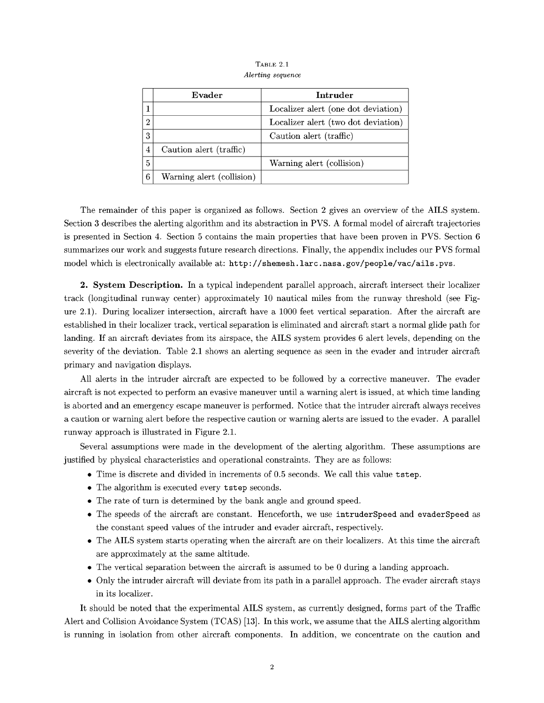|                | Evader                    | Intruder                            |
|----------------|---------------------------|-------------------------------------|
| 1              |                           | Localizer alert (one dot deviation) |
| $\overline{2}$ |                           | Localizer alert (two dot deviation) |
| 3              |                           | Caution alert (traffic)             |
| 4              | Caution alert (traffic)   |                                     |
| 5              |                           | Warning alert (collision)           |
| 6              | Warning alert (collision) |                                     |

TABLE 2.1 *Alerting sequence*

The remainder of this paper is organized as follows. Section 2 gives an overview of the AILS system. Section 3 describes the alerting algorithm and its abstraction in PVS. A formal model of aircraft trajectories is presented in Section 4. Section 5 contains the main properties that have been proven in PVS. Section 6 summarizes our work and suggests future research directions. Finally, the appendix includes our PVS formal model which is electronically available at: http ://shemesh. larc. nasa. gov/people/vac/ails, pvs.

2. System Description. In a typical independent parallel approach, aircraft intersect their localizer track (longitudinal runway center) approximately 10 nautical miles from the runway threshold (see Figure 2.1). During localizer intersection, aircraft have a 1000 feet vertical separation. After the aircraft are established in their localizer track, vertical separation is eliminated and aircraft start a normal glide path for landing. If an aircraft deviates from its airspace, the AILS system provides 6 alert levels, depending on the severity of the deviation. Table 2.1 shows an alerting sequence as seen in the evader and intruder aircraft primary and navigation displays.

All alerts in the intruder aircraft are expected to be followed by a corrective maneuver. The evader aircraft is not expected to perform an evasive maneuver until a warning alert is issued, at which time landing is aborted and an emergency escape maneuver is performed. Notice that the intruder aircraft always receives a caution or warning alert before the respective caution or warning alerts are issued to the evader. A parallel runway approach is illustrated in Figure 2.1.

Several assumptions were made in the development of the alerting algorithm. These assumptions are justified by physical characteristics and operational constraints. They are as follows:

- \* Time is discrete and divided in increments of 0.5 seconds. We call this value tstep.
- The algorithm is executed every tstep seconds.
- The rate of turn is determined by the bank angle and ground speed.
- \* The speeds of the aircraft are constant. Henceforth, we use intruderSpeed and evaderSpeed as the constant speed values of the intruder and evader aircraft, respectively.
- \* The AILS system starts operating when the aircraft are on their localizers. At this time the aircraft are approximately at the same altitude.
- \* The vertical separation between the aircraft is assumed to be 0 during a landing approach.
- \* Only the intruder aircraft will deviate from its path in a parallel approach. The evader aircraft stays in its localizer.

It should be noted that the experimental AILS system, as currently designed, forms part of the Traffic Alert and Collision Avoidance System (TCAS) [13]. In this work, we assume that the AILS alerting algorithm is running in isolation from other aircraft components. In addition, we concentrate on the caution and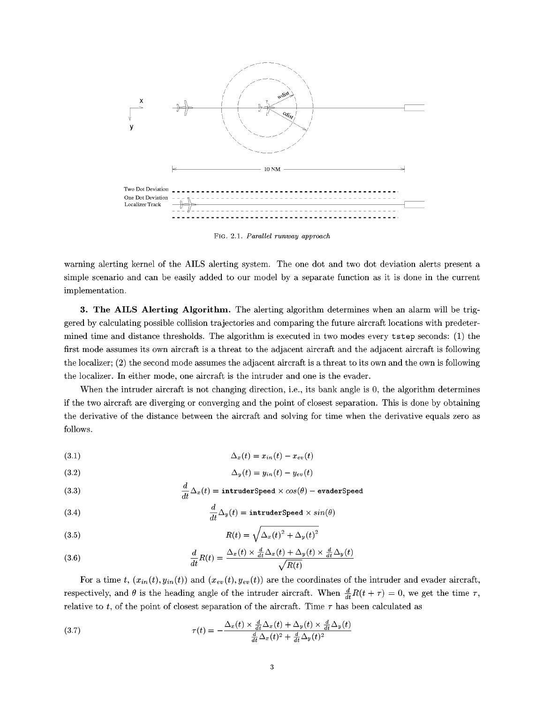

FIG. 2.1. *Parallel runway approach*

warning alerting kernel of the AILS alerting system. The one dot and two dot deviation alerts present a simple scenario and can be easily added to our model by a separate function as it is done in the current implementation.

3. The AILS Alerting Algorithm. The alerting algorithm determines when an alarm will be triggered by calculating possible collision trajectories and comparing the future aircraft locations with predetermined time and distance thresholds. The algorithm is executed in two modes every tstep seconds: (1) the first mode assumes its own aircraft is a threat to the adjacent aircraft and the adjacent aircraft is following the localizer; (2) the second mode assumes the adjacent aircraft is a threat to its own and the own is following the localizer. In either mode, one aircraft is the intruder and one is the evader.

When the intruder aircraft is not changing direction, i.e., its bank angle is 0, the algorithm determines if the two aircraft are diverging or converging and the point of closest separation. This is done by obtaining the derivative of the distance between the aircraft and solving for time when the derivative equals zero as follows.

$$
\Delta_x(t) = x_{in}(t) - x_{ev}(t)
$$

$$
\Delta_y(t) = y_{in}(t) - y_{ev}(t)
$$

(3.3) 
$$
\frac{d}{dt}\Delta_x(t) = \text{intruderSpeed} \times \cos(\theta) - \text{evaderSpeed}
$$

(3.4) 
$$
\frac{d}{dt}\Delta_y(t) = \text{intruderSpeed} \times \sin(\theta)
$$

(3.5) 
$$
R(t) = \sqrt{\Delta_x(t)^2 + \Delta_y(t)^2}
$$

(3.6) 
$$
\frac{d}{dt}R(t) = \frac{\Delta_x(t) \times \frac{d}{dt}\Delta_x(t) + \Delta_y(t) \times \frac{d}{dt}\Delta_y(t)}{\sqrt{R(t)}}
$$

For a time t,  $(x_{in}(t), y_{in}(t))$  and  $(x_{ev}(t), y_{ev}(t))$  are the coordinates of the intruder and evader aircraft, respectively, and  $\theta$  is the heading angle of the intruder aircraft. When  $\frac{d}{dt}R(t+\tau) = 0$ , we get the time  $\tau$ , relative to *t*, of the point of closest separation of the aircraft. Time  $\tau$  has been calculated as

(3.7) 
$$
\tau(t) = -\frac{\Delta_x(t) \times \frac{d}{dt}\Delta_x(t) + \Delta_y(t) \times \frac{d}{dt}\Delta_y(t)}{\frac{d}{dt}\Delta_x(t)^2 + \frac{d}{dt}\Delta_y(t)^2}
$$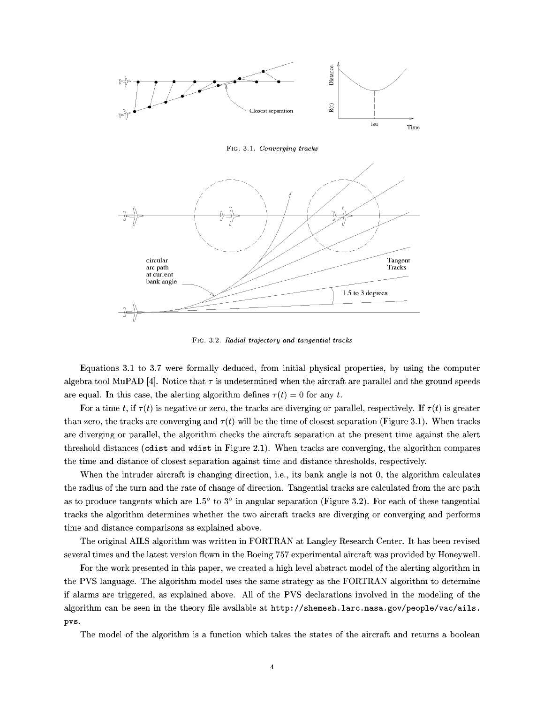

F\_G. 3.1. *Converging tracks*



F\_G. 3.2. *Radial trajectory and tangential tracks*

Equations 3.1 to 3.7 were formally deduced, from initial physical properties, by using the computer algebra tool MuPAD [4]. Notice that  $\tau$  is undetermined when the aircraft are parallel and the ground speeds are equal. In this case, the alerting algorithm defines  $\tau(t) = 0$  for any *t*.

For a time t, if  $\tau(t)$  is negative or zero, the tracks are diverging or parallel, respectively. If  $\tau(t)$  is greater than zero, the tracks are converging and  $\tau(t)$  will be the time of closest separation (Figure 3.1). When tracks are diverging or parallel, the algorithm checks the aircraft separation at the present time against the alert threshold distances (cdist and wdist in Figure 2.1). When tracks are converging, the algorithm compares the time and distance of closest separation against time and distance thresholds, respectively.

When the intruder aircraft is changing direction, i.e., its bank angle is not 0, the algorithm calculates the radius of the turn and the rate of change of direction. Tangential tracks are calculated from the arc path as to produce tangents which are  $1.5^{\circ}$  to  $3^{\circ}$  in angular separation (Figure 3.2). For each of these tangential tracks the algorithm determines whether the two aircraft tracks are diverging or converging and performs time and distance comparisons as explained above.

The original AILS algorithm was written in FORTRAN at Langley Research Center. It has been revised several times and the latest version flown in the Boeing 757 experimental aircraft was provided by Honeywell.

For the work presented in this paper, we created a high level abstract model of the alerting algorithm in the PVS language. The algorithm model uses the same strategy as the FORTRAN algorithm to determine if alarms are triggered, as explained above. All of the PVS declarations involved in the modeling of the algorithm can be seen in the theory file available at http://shemesh, larc.nasa.gov/people/vac/ails. pvs.

The model of the algorithm is a function which takes the states of the aircraft and returns a boolean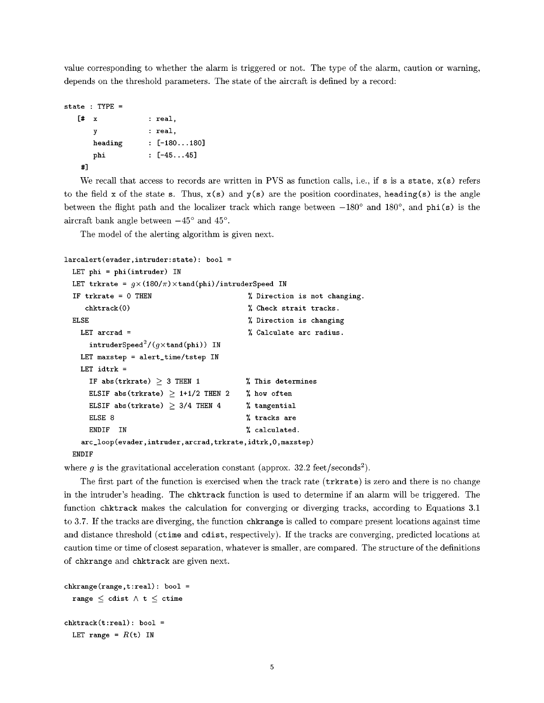value corresponding to whether the alarm is triggered or not. The type of the alarm, caution or warning, depends on the threshold parameters. The state of the aircraft is defined by a record:

```
state : TYPE =
  [# x : real,
     y : real,
    heading : [-180...180]
     phi : [-45...45]
  #]
```
We recall that access to records are written in PVS as function calls, i.e., if s is a state,  $x(s)$  refers to the field x of the state s. Thus,  $x(s)$  and  $y(s)$  are the position coordinates, heading(s) is the angle between the flight path and the localizer track which range between  $-180^\circ$  and  $180^\circ$ , and phi(s) is the aircraft bank angle between  $-45^{\circ}$  and  $45^{\circ}$ .

The model of the alerting algorithm is given next.

```
larcalert(evader,intruder:state): bool =
  LET phi = phii(intruder) IN
  LET trkrate = g \times (180/\pi) \times \tanh(\phi)hi)/intruderSpeed IN
  IF trkrate = 0 THEN
     chktrack(0)
  ELSE
    LET arcrad =
      intruderSpeed<sup>2</sup>/(q \timestand(phi)) IN
    LET maxstep = alert_time/tstep IN
    LET idtrk =
      IF abs(trkrate) \geq 3 THEN 1
      ELSIF abs(trkrate) \geq 1+1/2 THEN 2
      ELSIF abs(trkrate) \geq 3/4 THEN 4
      ELSE 8
      ENDIF IN
                                                Direction is not changing.
                                                Check strait tracks.
                                                Direction is changing
                                                Calculate arc radius.
                                               This determines
                                               % how often
                                               % tangential
                                               % tracks are
                                               % calculated.
    arc_l oop (evader, intruder, arcrad, trkrate, idtrk, 0, maxstep)
  ENDIF
```
where  $g$  is the gravitational acceleration constant (approx.  $32.2$  feet/seconds<sup>2</sup>).

The first part of the function is exercised when the track rate (trkrate) is zero and there is no change in the intruder's heading. The chktrack function is used to determine if an alarm will be triggered. The function chktrack makes the calculation for converging or diverging tracks, according to Equations 3.1 to 3.7. If the tracks are diverging, the function chkrange is called to compare present locations against time and distance threshold (ctime and cdist, respectively). If the tracks are converging, predicted locations at caution time or time of closest separation, whatever is smaller, are compared. The structure of the definitions of chkrange and chktrack are given next.

```
chkrange(range,t:real): bool =
  range \leq cdist \wedge t \leq ctime
chktrack(t:real): bool =LET range = R(t) IN
```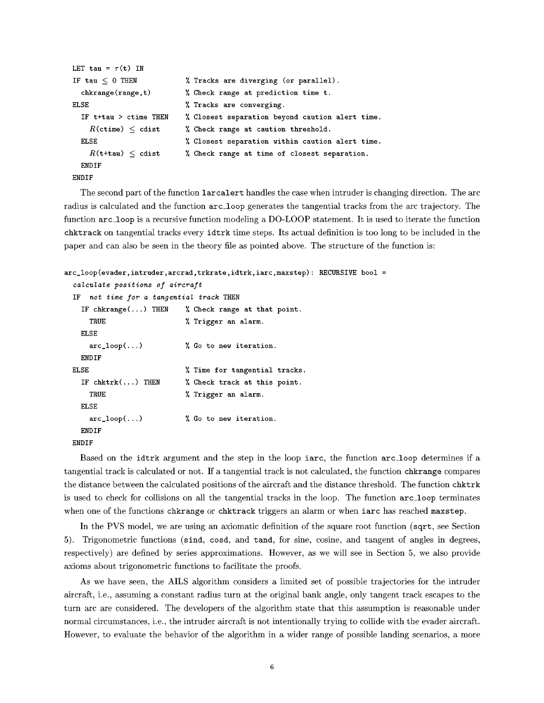```
LET tau = \tau(t) IN
IF tau \leq 0 THEN
  chkrange(range,t)
ELSE
  IF t+tau > ctime THEN
    R(\text{ctime}) < \text{cdist}ELSE
    R(t+tau) \leq cdist
  ENDIF
ENDIF
                            % Tracks are diverging (or parallel).
                            % Check range at prediction time t.
                            % Tracks are converging.
                            Closest separation beyond caution alert time.
                            Check range at caution threshold.
                            Closest separation within caution alert time.
                            Check range at time of closest separation.
```
The second part of the function larcalert handles the case when intruder is changing direction. The arc radius is calculated and the function arc\_loop generates the tangential tracks from the arc trajectory. The function arc\_loop is a recursive function modeling a DO-LOOP statement. It is used to iterate the function chktrack on tangential tracks every idtrk time steps. Its actual definition is too long to be included in the paper and can also be seen in the theory file as pointed above. The structure of the function is:

```
arc_loop(evader,intruder,arcrad,trkrate,idtrk,iarc,maxstep): RECURSIVE bool =
 calculate positions of aircraft
 IF not time for a tangential track THEN
   IF chkrange(...) THEN \% Check range at that point.
     TRUE \% Trigger an alarm.
   ELSE
     arc\_loop(...) % Go to new iteration.
   ENDIF
 ELSE \frac{1}{2} Time for tangential tracks.
   IF chktrk(...) THEN % % Check track at this point.
     TRUE \% Trigger an alarm.
   ELSE
     arc\_loop(...) % Go to new iteration.
   ENDIF
 ENDIF
```
Based on the idtrk argument and the step in the loop iarc, the function arc\_loop determines if a tangential track is calculated or not. If a tangential track is not calculated, the function chkrange compares the distance between the calculated positions of the aircraft and the distance threshold. The function chktrk is used to check for collisions on all the tangential tracks in the loop. The function arc\_loop terminates when one of the functions chkrange or chktrack triggers an alarm or when iarc has reached maxstep.

In the PVS model, we are using an axiomatic definition of the square root function (sqrt, see Section 5). Trigonometric functions (sind, cosd, and tand, for sine, cosine, and tangent of angles in degrees, respectively) are defined by series approximations. However, as we will see in Section 5, we also provide axioms about trigonometric functions to facilitate the proofs.

As we have seen, the AILS algorithm considers a limited set of possible trajectories for the intruder aircraft, i.e., assuming a constant radius turn at the original bank angle, only tangent track escapes to the turn arc are considered. The developers of the algorithm state that this assumption is reasonable under normal circumstances, i.e., the intruder aircraft is not intentionally trying to collide with the evader aircraft. However, to evaluate the behavior of the algorithm in a wider range of possible landing scenarios, a more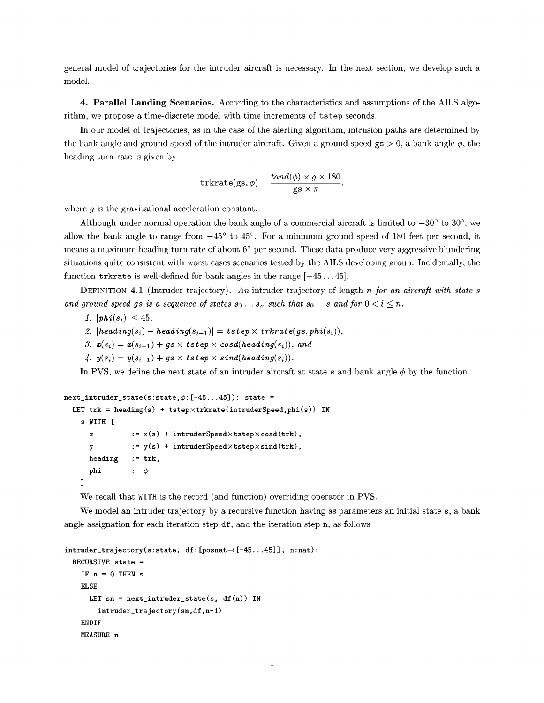general model of trajectories for the intruder aircraft is necessary. In the next section, we develop such a model.

**4.** Parallel Landing Scenarios. According to the characteristics and assumptions of the AILS algorithm, we propose a time-discrete model with time increments of tstep seconds.

In our model of trajectories, as in the case of the alerting algorithm, intrusion paths are determined by the bank angle and ground speed of the intruder aircraft. Given a ground speed  $gs > 0$ , a bank angle  $\phi$ , the heading turn rate is given by

$$
\mathbf{trkrate}(\mathbf{gs}, \phi) = \frac{\mathit{tand}(\phi) \times g \times 180}{\mathbf{gs} \times \pi},
$$

where *g* is the gravitational acceleration constant.

Although under normal operation the bank angle of a commercial aircraft is limited to  $-30^{\circ}$  to  $30^{\circ}$ , we allow the bank angle to range from  $-45^{\circ}$  to  $45^{\circ}$ . For a minimum ground speed of 180 feet per second, it means a maximum heading turn rate of about 6° per second. These data produce very aggressive blundering situations quite consistent with worst cases scenarios tested by the AILS developing group. Incidentally, the function trkrate is well-defined for bank angles in the range  $[-45...45]$ .

DEFINITION 4.1 (Intruder trajectory). *An* intruder trajectory of length *n for an aircraft with state s and ground speed gs is a sequence of states*  $s_0 \ldots s_n$  *such that*  $s_0 = s$  *and*  $for$   $0 < i \leq n$ ,

- 1.  $|phi(s_i)| \leq 45$ ,
- *2.*  $|heading(s_i) heading(s_{i-1})| = tstep \times trkrate(gs, phi(s_i)),$
- 3.  $\mathbf{x}(s_i) = \mathbf{x}(s_{i-1}) + qs \times tstep \times cos d(heading(s_i)),$  and
- 4.  $y(s_i) = y(s_{i-1}) + gs \times tstep \times sind(heading(s_i)).$

In PVS, we define the next state of an intruder aircraft at state s and bank angle  $\phi$  by the function

```
X
      y
      heading
      phi
    ]
next\_intruder\_state(s:state, \phi: [-45...45]): state =LET trk = heading(s) + tstep×trkrate(intruderSpeed,phi(s)) IN
    s WITH [
                 := x(s) + intruderSpeed×tstep×cosd(trk),
                 := y(s) + intruderSpeed×tstep×sind(trk),
                := trk,
                 := \phi
```
We recall that WITH is the record (and function) overriding operator in PVS.

We model an intruder trajectory by a recursive function having as parameters an initial state s, a bank angle assignation for each iteration step  $df$ , and the iteration step n, as follows

```
intruder\_trajectory(s:state, df:[posnat \rightarrow [-45...45]], n:nat):RECURSIVE state =
    IF n = 0 THEN s
    ELSE
      LET sn = next\_intruder\_state(s, df(n)) IN
        intruder_trajectory(sn,df,n-1)
    ENDIF
    MEASURE n
```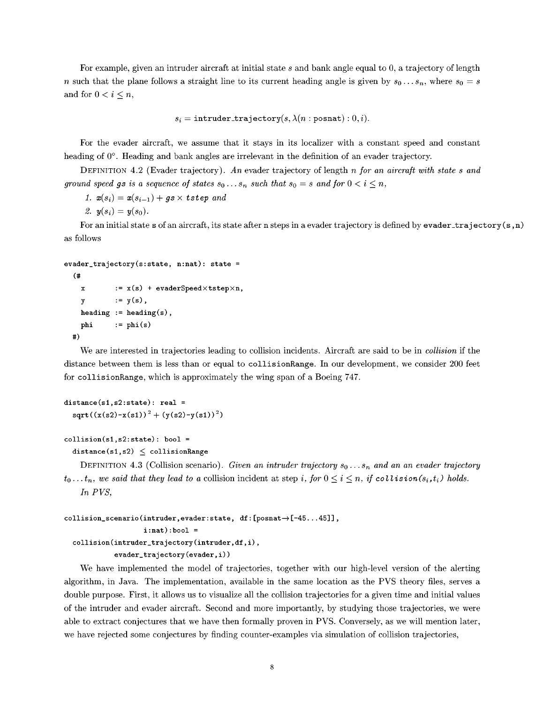For example, given an intruder aircraft at initial state *s* and bank angle equal to 0, a trajectory of length *n* such that the plane follows a straight line to its current heading angle is given by  $s_0 \ldots s_n$ , where  $s_0 = s$ and for  $0 < i \leq n$ ,

 $s_i = \text{intruder\_trajectory}(s, \lambda(n : \text{posnat}) : 0, i).$ 

For the evader aircraft, we assume that it stays in its localizer with a constant speed and constant heading of 0°. Heading and bank angles are irrelevant in the definition of an evader trajectory.

DEFINITION 4.2 (Evader trajectory). *An* evader trajectory of length n *for an aircraft with state s and ground* speed gs is a sequence of states  $s_0 \ldots s_n$  such that  $s_0 = s$  and for  $0 < i \leq n$ ,

*1.*  $x(s_i) = x(s_{i-1}) + gs \times tstep$  *and* 

2.  $y(s_i) = y(s_0)$ .

For an initial state s of an aircraft, its state after n steps in a evader trajectory is defined by evader\_trajectory  $(s, n)$ as follows

```
evader_trajectory(s:state, n:nat): state =
  (#
   x := x(s) + evaderSpeed×tstep×n,
   y = y(s),
   heading := heading(s),
   phi := phi(s)
 #)
```
We are interested in trajectories leading to collision incidents. Aircraft are said to be in *collision* if the distance between them is less than or equal to collisionRange. In our development, we consider 200 feet for collisionRange, which is approximately the wing span of a Boeing 747.

```
distance(s1, s2:state): real =sqrt((x(s2)-x(s1))^2 + (y(s2)-y(s1))^2)
```

```
collision(s1, s2:state): bool =
```
 $distance(s1,s2) \leq collisionRange$ 

DEFINITION 4.3 (Collision scenario). *Given an intruder trajectory So* .. • *sn and an an evader trajectory*  $t_0...t_n$ , we said that they lead to a collision incident at step *i*, for  $0 \le i \le n$ , if collision(s<sub>i</sub>,t<sub>i</sub>) holds. *In P VS,*

```
collision\_scenario (intruder, evader: state, df:[posnat \rightarrow [-45...45]],
                      i : nat) : bool =collision(intruder\_trajectory(intruder, df, i),
              evader_trajectory(evader,i))
```
We have implemented the model of trajectories, together with our high-level version of the alerting algorithm, in Java. The implementation, available in the same location as the PVS theory files, serves a double purpose. First, it allows us to visualize all the collision trajectories for a given time and initial values of the intruder and evader aircraft. Second and more importantly, by studying those trajectories, we were able to extract conjectures that we have then formally proven in PVS. Conversely, as we will mention later, we have rejected some conjectures by finding counter-examples via simulation of collisiontrajectories,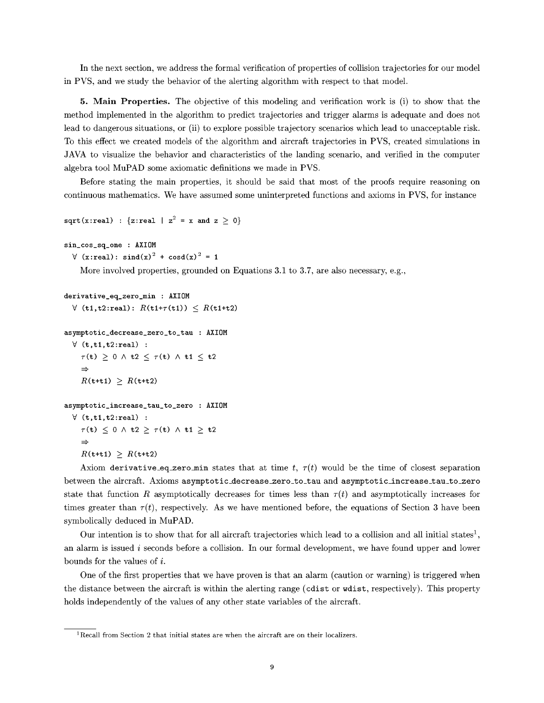In the next section, we address the formal verification of properties of collision trajectories for our model in PVS, and we study the behavior of the alerting algorithm with respect to that model.

5. Main Properties. The objective of this modeling and verification work is (i) to show that the method implemented in the algorithm to predict trajectories and trigger alarms is adequate and does not lead to dangerous situations, or (ii) to explore possible trajectory scenarios which lead to unacceptable risk. To this effect we created models of the algorithm and aircraft trajectories in PVS, created simulations in JAVA to visualize the behavior and characteristics of the landing scenario, and verified in the computer algebra tool MuPAD some axiomatic definitions we made in PVS.

Before stating the main properties, it should be said that most of the proofs require reasoning on continuous mathematics. We have assumed some uninterpreted functions and axioms in PVS, for instance

```
sqrt(x:real) : {z:real | z^2 = x and z \ge 0}
```

```
sin_cos_sq_one : AXIOM
```

```
\forall (x:real): \sin^2(x) + \cosh(x)<sup>2</sup> = 1
```
More involved properties, grounded on Equations 3.1 to 3.7, are also necessary, e.g.,

```
derivative_eq_zero_min : AXIOM
   \forall (t1,t2:real): R(t1+\tau(t1)) \leq R(t1+t2)asymptotic_decrease_zero_to_tau : AXIOM
   \forall (t,t1,t2:real) :
      \tau(\mathbf{t}) \geq 0 \land \mathbf{t2} \leq \tau(\mathbf{t}) \land \mathbf{t1} \leq \mathbf{t2}\RightarrowR(t+ti) \geq R(t+t)asymptotic_increase_tau_to_zero : AXIOM
   \forall (t,t1,t2:real) :
      \tau(\mathbf{t}) \leq 0 \land \mathbf{t2} \geq \tau(\mathbf{t}) \land \mathbf{t1} \geq \mathbf{t2}
```

```
R(\text{t+t1}) \geq R(\text{t+t2})
```
 $\Rightarrow$ 

Axiom derivative\_eq\_zero\_min states that at time t,  $\tau(t)$  would be the time of closest separation between the aircraft. Axioms asymptotic\_decrease\_zero\_to\_tau and asymptotic\_increase\_tau\_to\_zero state that function R asymptotically decreases for times less than  $\tau(t)$  and asymptotically increases for times greater than  $\tau(t)$ , respectively. As we have mentioned before, the equations of Section 3 have been symbolically deduced in MuPAD.

Our intention is to show that for all aircraft trajectories which lead to a collision and all initial states<sup>1</sup>, an alarm is issued  $i$  seconds before a collision. In our formal development, we have found upper and lower bounds for the values of i.

One of the first properties that we have proven is that an alarm (caution or warning) is triggered when the distance between the aircraft is within the alerting range (cdist or wdist, respectively). This property holds independently of the values of any other state variables of the aircraft.

<sup>1</sup>Recall from Section 2 that initial states are when the aircraft are on their localizers.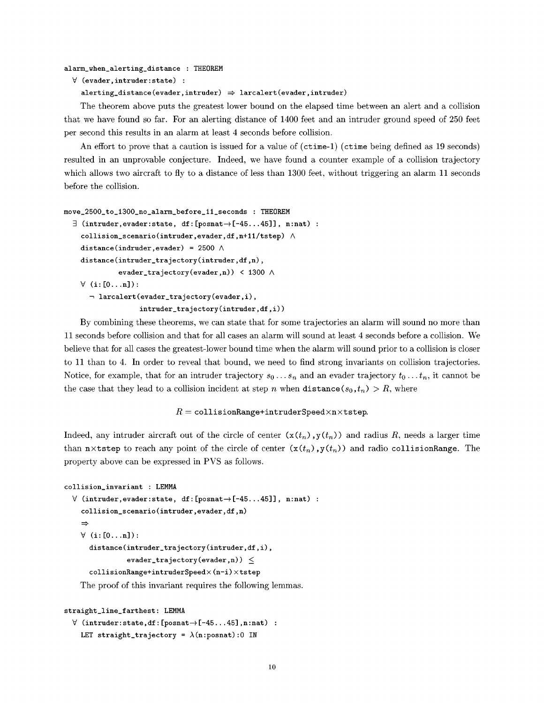#### alarm\_when\_alerting\_distance : THEOKEM

```
V (evader,intruder:state) :
```

```
alerring\_distance (evader, intruder) \Rightarrow larcaler (evader)
```
The theorem above puts the greatest lower bound on the elapsed time between an alert and a collision that we have found so far. For an alerting distance of 1400 feet and an intruder ground speed of 250 feet per second this results in an alarm at least 4 seconds before collision.

An effort to prove that a caution is issued for a value of (ctime-1) (ctime being defined as 19 seconds) resulted in an unprovable conjecture. Indeed, we have found a counter example of a collision trajectory which allows two aircraft to fly to a distance of less than 1300 feet, without triggering an alarm 11 seconds before the collision.

```
move_2500_to_1300_no_alarm_before_11_seconds : THEOKEM
```

```
\exists (intruder, evader: state, df: [posnat\rightarrow[-45...45]], n:nat) :
  collision_scenario(intruder, evader, df, n+11/tstep) \wedgedistance (indruder, evader) = 2500 \landdistance (intruder_trajectory (intruder, df ,n) ,
            evader_trajectory(evader,n)) < 1300 \land\forall (i: [0...n]):
    \neg larcalert (evader_trajectory (evader, i),
                   intruder\_trajectory(intruder, df, i))
```
By combining these theorems, we can state that for some trajectories an alarm will sound no more than 11 seconds before collision and that for all cases an alarm will sound at least 4 seconds before a collision. We believe that for all cases the greatest-lower bound time when the alarm will sound prior to a collision is closer to 11 than to 4. In order to reveal that bound, we need to find strong invariants on collision trajectories. Notice, for example, that for an intruder trajectory  $s_0 \ldots s_n$  and an evader trajectory  $t_0 \ldots t_n$ , it cannot be the case that they lead to a collision incident at step n when distance( $s_0, t_n$ ) > R, where

#### $R =$  collisionRange+intruderSpeed $\times$ n $\times$ tstep.

Indeed, any intruder aircraft out of the circle of center  $(x(t_n),y(t_n))$  and radius *R*, needs a larger time than nxtstep to reach any point of the circle of center  $(x(t_n),y(t_n))$  and radio collisionRange. The property above can be expressed in PVS as follows.

```
collision_invariant : LEMMA
  \forall (intruder, evader: state, df: [posnat\rightarrow [-45...45]], n:nat) :
    collision_scenario(intruder,evader,df,n)
    \Rightarrow\forall (i:[0...n]):
      distance(intruder_trajectory(intruder,df,i),
                 evader_trajectory(evader,n)) \leqcollisionRange+intruderSpeed×(n-i)×tstep
    The proof of this invariant requires the following lemmas.
```

```
straight_line_farthest: LEMMA
  \forall (intruder:state,df:[posnat\rightarrow[-45...45],n:nat) :
    LET straight_trajectory = \lambda(n:posnat):0 IN
```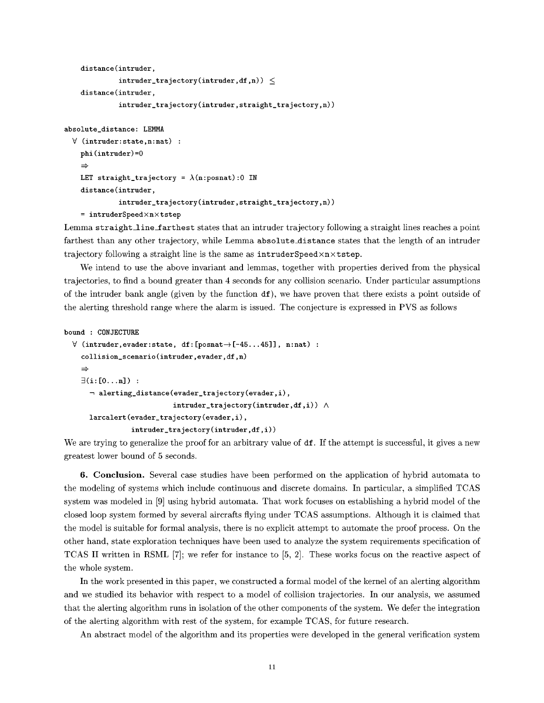```
distance(intruder,
         intruder\_trajectory(intruder,df,n)) \leqdistance(intruder,
         intruder_trajectory(intruder,straight_trajectory,n))
```
absolute\_distance : LEMMA

```
\forall (intruder: state, n: nat) :
  phi(intruder)=0
  \RightarrowLET straight_trajectory = \lambda(n:posnat):0 IN
  distance(intruder,
             intruder_trajectory (intruder, straight_traj ectory, n) )
  = intruderSpeed\timesn\timeststep
```
Lemma straight\_line\_farthest states that an intruder trajectory following a straight lines reaches a point farthest than any other trajectory, while Lemma absolute\_distance states that the length of an intruder trajectory following a straight line is the same as  $intruderSpeed \times n \times tstep$ .

We intend to use the above invariant and lemmas, together with properties derived from the physical trajectories, to find a bound greater than 4 seconds for any collision scenario. Under particular assumptions of the intruder bank angle (given by the function  $df$ ), we have proven that there exists a point outside of the alerting threshold range where the alarm is issued. The conjecture is expressed in PVS as follows

```
bound : CONJECTURE
```

```
\forall (intruder, evader: state, df: [posnat\rightarrow [-45...45]], n:nat) :
  collision_scenario(intruder, evader, df, n)
  \Rightarrow\exists(i: [0...n]) :
     \neg alerting_distance (evader_trajectory (evader, i),
                             intruder\_trajectory(intruder, df, i) ) \wedgelarcalert (evader_trajectory (evader, i),
                 intruder\_trajectory(intruder, df, i))
```
We are trying to generalize the proof for an arbitrary value of df. If the attempt is successful, it gives a new greatest lower bound of 5 seconds.

6. Conclusion. Several case studies have been performed on the application of hybrid automata to the modeling of systems which include continuous and discrete domains. In particular, a simplified TCAS system was modeled in [9] using hybrid automata. That work focuses on establishing a hybrid model of the closed loop system formed by several aircrafts flying under TCAS assumptions. Although it is claimed that the model is suitable for formal analysis, there is no explicit attempt to automate the proof process. On the other hand, state exploration techniques have been used to analyze the system requirements specification of TCAS II written in RSML  $[7]$ ; we refer for instance to  $[5, 2]$ . These works focus on the reactive aspect of the whole system.

In the work presented in this paper, we constructed a formal model of the kernel of an alerting algorithm and we studied its behavior with respect to a model of collision trajectories. In our analysis, we assumed that the alerting algorithm runs in isolation of the other components of the system. We defer the integration of the alerting algorithm with rest of the system, for example TCAS, for future research.

An abstract model of the algorithm and its properties were developed in the general verification system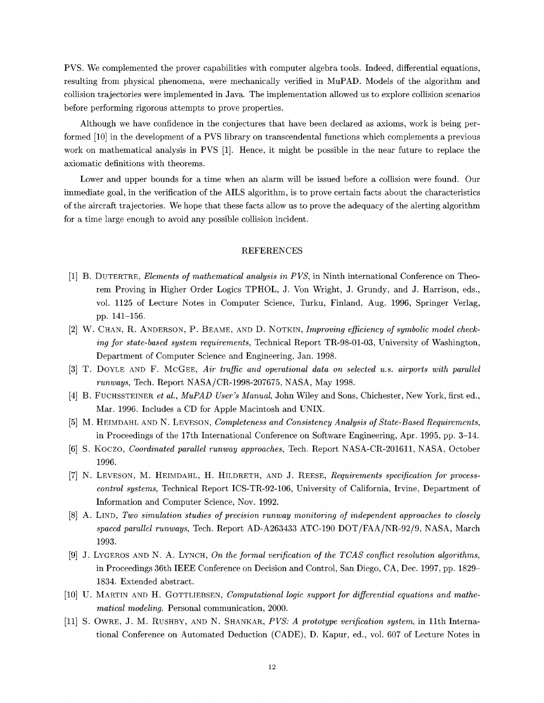PVS. We complemented the prover capabilities with computer algebra tools. Indeed, differential equations, resulting from physical phenomena, were mechanically verified in MuPAD. Models of the algorithm and collision trajectories were implemented in Java. The implementation allowed us to explore collision scenarios before performing rigorous attempts to prove properties.

Although we have confidence in the conjectures that have been declared as axioms, work is being performed [10] in the development of a PVS library on transcendental functions which complements a previous work on mathematical analysis in PVS [1]. Hence, it might be possible in the near future to replace the axiomatic definitions with theorems.

Lower and upper bounds for a time when an alarm will be issued before a collision were found. Our immediate goal, in the verification of the AILS algorithm, is to prove certain facts about the characteristics of the aircraft trajectories. We hope that these facts allow us to prove the adequacy of the alerting algorithm for a time large enough to avoid any possible collision incident.

### REFERENCES

- [1] B. DUTERTRE, *Elements of mathematical analysis in PVS,* in Ninth international Conference on Theorem Proving in Higher Order Logics TPHOL, J. Von Wright, J. Grundy, and J. Harrison, eds., vol. 1125 of Lecture Notes in Computer Science, Turku, Finland, Aug. 1996, Springer Verlag, pp. 141-156.
- [2] W. CHAN, R. ANDERSON, P. BEAMS, AND D. NOTKIN, *Improving efficiency of symbolic model checking* for *state-based system requirements,* Technical Report TR-98-01-03, University of Washington, Department of Computer Science and Engineering, Jan. 1998.
- [3] T. DOYLE AND F. McGEE, *Air traffic and operational data on selected u.s. airports with parallel runways,* Tech. Report NASA/CR-1998-207675, NASA, May 1998.
- [4] B. FUCHSSTEINER *et al., MuPAD User's Manual,* John Wiley and Sons, Chichester, New York, first ed., Mar. 1996. Includes a CD for Apple Macintosh and UNIX.
- [5] M. HEIMDAHL AND N. LEVESON, *Completeness and Consistency Analysis of State-Based Requirements,* in Proceedings of the 17th International Conference on Software Engineering, Apr. 1995, pp. 3-14.
- [6] S. Koczo, *Coordinated parallel runway approaches,* Tech. Report NASA-CR-201611, NASA, October 1996.
- [7] N. LEVESON, M. HEIMDAHL, H. HILDRETH, AND J. REESE, Requirements specification for process*control systems,* Technical Report ICS-TR-92-106, University of California, Irvine, Department of Information and Computer Science, Nov. 1992.
- [8] A. LIND, *Two simulation studies of precision runway monitoring of independent approaches to closely spaced parallel runways,* Tech. Report AD-A263433 ATC-190 DOT/FAA/NR-92/9, NASA, March 1993.
- [9] J. LYGEROS AND N. A. LYNCH, *On the formal verification of the TCAS conflict resolution algorithms,* in Proceedings 36th IEEE Conference on Decision and Control, San Diego, CA, Dec. 1997, pp. 1829- 1834. Extended abstract.
- [10] U. MARTIN AND H. GOTTLIEBSEN, *Computational logic support* for *differential equations and* mathe*matical modeling.* Personal communication, 2000.
- [11] S. OWRE, J. M. RUSHBY, AND N. SHANKAR, *PVS: A prototype verification system,* in 11th International Conference on Automated Deduction (CADS), D. Kaput, ed., vol. 607 of Lecture Notes in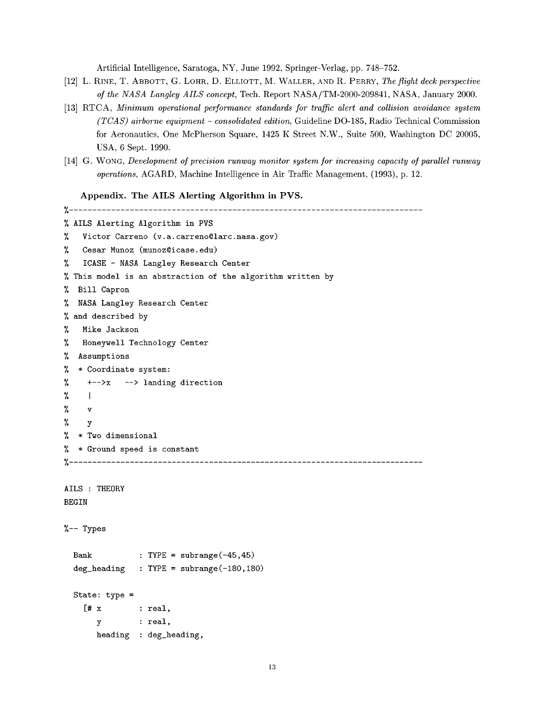Artificial Intelligence, Saratoga, NY, June 1992, Springer-Verlag, pp. 748-752.

- [12] L. RINE, T. ABBOTT, G. LOHR, D. ELLIOTT, M. WALLER, AND R. PERRY, *The flight deck perspective o/the NASA Langley* AILS *concept,* Tech. Report NASA/TM-2000-209841, NASA, January 2000.
- [13] RTCA, *Minimum operational performance standards* .for *traffic alert and collision avoidance system (TCAS) airborne equipment* - *consolidated edition,* Guideline DO-185, Radio Technical Commission for Aeronautics, One McPherson Square, 1425 K Street N.W., Suite 500, Washington DC 20005, USA, 6 Sept. 1990.
- [14] G. WONG, *Development o/ precision runway monitor system/or increasing capacity o/ parallel runway operations,* AGARD, Machine Intelligence in Air Traffic Management, (1993), p. 12.

Appendix. The AILS Alerting Algorithm in PVS.

 $[$ #  $x$  : real, y : real,

**heading :** deg\_heading,

```
%
% AILS Alerting Algorithm in PVS
% Victor Carreno (v.a.carreno@larc.nasa.gov)
% Cesar Munoz (munoz@icase.edu)
% ICASE - NASA Langley Research Center
% This model is an abstraction of the algorithm written by
% Bill Capron
% NASA Langley Research Center
% and described by
% Mike Jackson
% Honeywell Technology Center
% Assumptions
% * Coordinate system:
% \leftarrow \leftarrow \rightarrow landing direction
\% i
% v
% y
% * Two dimensional
% * Ground speed is constant
%
AILS : THEORY
BEGIN
%-- Types
 Bank
 deg_heading
           : TYPE = subrange(-45, 45): TYPE = subrange(-180,180)
 State: type =
```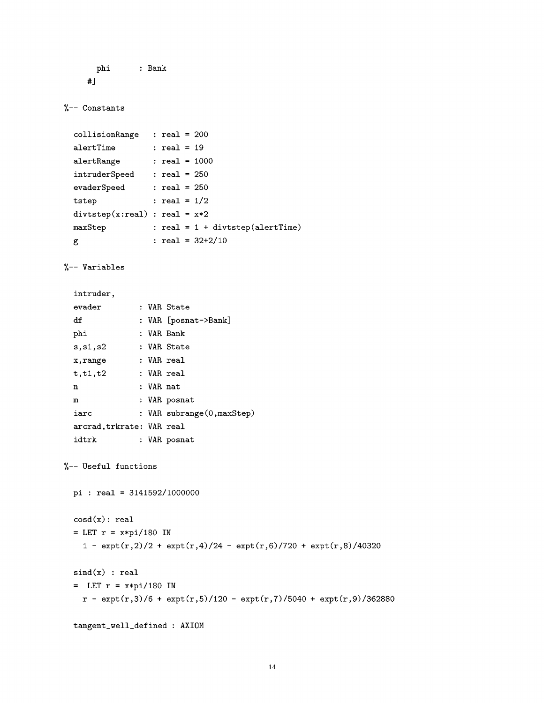```
phi : Bank
#]
```

```
%-- Constants
```

```
collisionRange
: real = 200
alertTime
alertRange
intruderSpeed
: real = 250
evaderSpeed
tstep
div \text{step}(x:\text{real}) : \text{real} = x*2maxStep
g
                : real = 19
                : real = i000
                : real = 250
                  : real = 1/2
                : real = 1 + divtstep(alertTime)
                 : \text{real} = 32 + 2/10
```
%-- Variables

| intruder.                |  |           |                            |  |
|--------------------------|--|-----------|----------------------------|--|
| evader                   |  |           | : VAR State                |  |
| df                       |  |           | : VAR [posnat->Bank]       |  |
| phi                      |  |           | : VAR Bank                 |  |
| s.s1.s2                  |  |           | : VAR State                |  |
| x,range                  |  |           | : VAR real                 |  |
| t.t1.t2                  |  |           | : VAR real                 |  |
| n                        |  | : VAR nat |                            |  |
| m                        |  |           | : VAR posnat               |  |
| iarc                     |  |           | : VAR subrange(0, maxStep) |  |
| arcrad,trkrate: VAR real |  |           |                            |  |
| idtrk                    |  |           | : VAR posnat               |  |

```
%-- Useful functions
```

```
pi : real = 3141592/1000000
\cosh(x): real
= LET r = x * pi/180 IN
  1 - \exp t(r,2)/2 + \exp t(r,4)/24 - \exp t(r,6)/720 + \exp t(r,8)/40320sind(x) : real
= LET r = x * pi/180 IN
  r - \exp(t,3)/6 + \exp(t,5)/120 - \exp(t,7)/5040 + \exp(t,9)/362880tangent_well_defined: AXIOM
```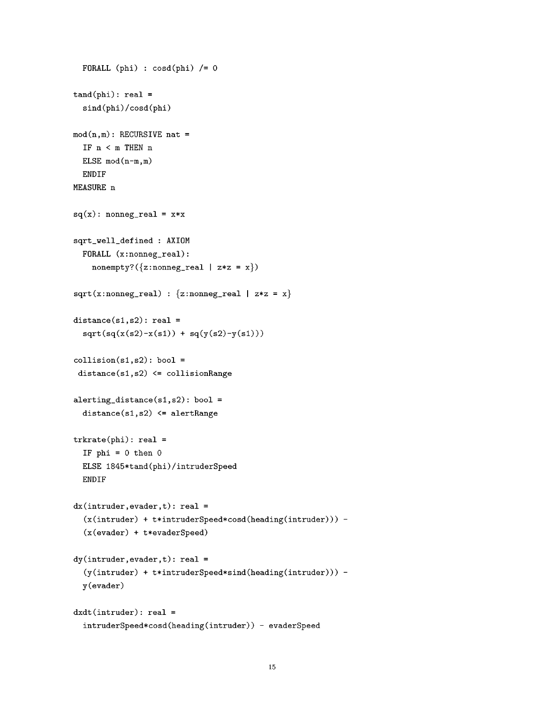```
FORALL (phi) : \cosh(\phi h i) /= 0
tand(phi): real =sind(phi)/cosd(phi)
mod(n,m): RECURSIVE nat =
  IF n < m THEN n
  ELSE mod(n-m,m)
  ENDIF
MEASURE n
sq(x): nonneg_real = x*xsqrt_well_defined : AXIOM
  FORALL (x:nonneg_real):
    nonempty?(\{z: \text{nonneg\_real} \mid z*z = x\})
sqrt(x:nonneg\_real) : {z:nonneg_real | z*z = x}
distance(s1, s2): real =sqrt(sq(x(s2)-x(s1)) + sq(y(s2)-y(s1)))collision(s1,s2): bool =distance(sl,s2) <= collisionRange
alerting_distance(sl,s2): bool =
  distance(sl,s2) <= alertRange
trkrate(phi): real =
  IF phi = 0 then 0
  ELSE 1845*tand(phi)/intruderSpeed
  ENDIF
dx(intruder,evader,t): real =(x(intruder) + t*intruderSpeed*cosd(heading(intruder))) -
  (x(evader) + t*evaderSpeed)
dy(intruder,evader, t): real =(y(intruder) + t*intruderSpeed*sind(heading(intruder))) -
  y(evader)
dxdt(intruder): real =
  intruderSpeed*cosd(heading(intruder)) - evaderSpeed
```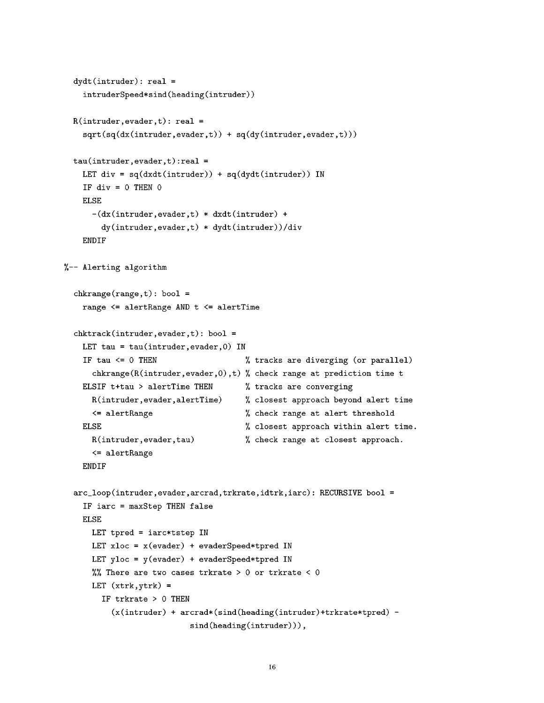```
dydt(intruder): real =
    intruderSpeed*sind(heading(intruder))
  R(intruder,evader, t): real =sqrt(sq(dx(intruder,evader,t)) + sq(dy(intruder,evader,t)))
  tau(intruder,evader,t):real =
    LET div = sq(dxdt(intruder)) + sq(dydt(intruder)) IN
    IF div = 0 THEN 0ELSE
      -(dx(intruder,evader,t) * dxdt(intruder) +
        dy(intruder,evader,t) * dydt(intruder))/div
    ENDIF
%-- Alerting algorithm
  chkrange(range,t): bool =range <= alertRange AND t <= alertTime
  chktrack(intruder,evader,t): bool =
    LET tau = tau(intruder, evader, 0) IN
    IF tau <= 0 THEN \% tracks are diverging (or parallel)
      chkrange(R(intruder,evader,0),t) % check range at prediction time t
    ELSIF t+tau > alertTime THEN
      R(intruder,evader,alertTime)
      <= alertRange
    ELSE
      R(intruder,evader,tau)
      <= alertRange
    ENDIF
                                       % tracks are converging
                                       closest approach beyond alert time
                                       % check range at alert threshold
                                       % closest approach within alert time.
                                       % check range at closest approach.
  arc_loop(intruder,evader,arcrad,trkrate,idtrk,iarc): RECUKSIVE bool =
    IF iarc = maxStep THEN false
    ELSE
      LET tpred = iarc*tstep IN
      LET xloc = x(evader) + evaderSpeed*tpred IN
      LET yloc = y(evader) + evaderSpeed*tpred IN
      %% There are two cases trkrate > 0 or trkrate < 0
      LET (xtrk, ytrk) =
        IF trkrate > 0 THEN
          (x(intruder) + arcrad*(sind(heading(intruder)+trkrate*tpred) -
                           sind(heading(intruder))),
```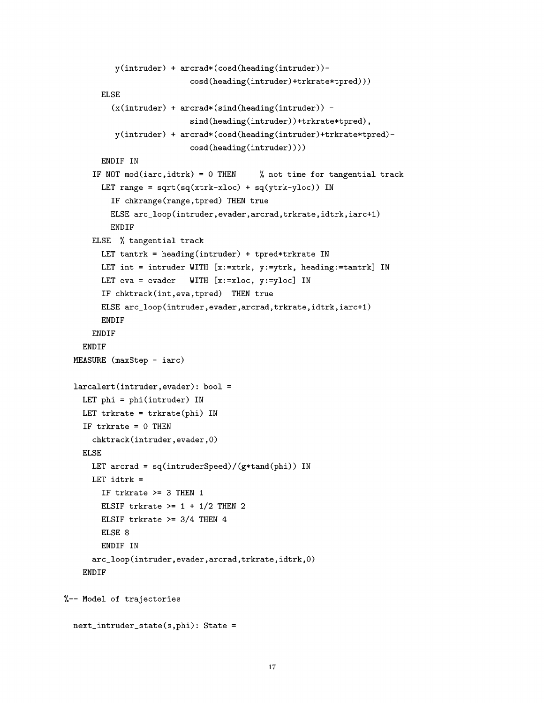```
y(intruder) + arcrad*(cosd(heading(intruder))-
                           cosd(heading(intruder)+trkrate*tpred)))
        ELSE
          (x(intruder) + arcrad*(sind(heading(intruder)) -
                           sind(heading(intruder))+trkrate*tpred),
           y(intruder) + arcrad*(cosd(heading(intruder)+trkrate*tpred)-
                           cosd(heading(intruder))))
        ENDIF IN
      IF NOT mod(iarc,idtrk) = 0 THEN % not time for tangential track
        LET range = sqrt(sq(xtrk-xloc) + sq(ytrk-yloc)) IN
          IF chkrange(range,tpred) THEN true
          ELSE arc_loop(intruder,evader,arcrad,trkrate,idtrk,iarc+1)
          ENDIF
      ELSE % tangential track
        LET tantrk = heading(intruder) + tpred*trkrate IN
        LET int = intruder WITH [x:=xtrk, y:=ytrk, heading:=tantrk] IN
        LET eva = evader WITH [x:=x \log y:=y \log x] IN
        IF chktrack(int,eva,tpred) THEN true
        ELSE arc_loop(intruder,evader,arcrad,trkrate,idtrk,iarc+1)
        ENDIF
      ENDIF
   ENDIF
  MEASURE (maxStep - iarc)
  larcalert(intruder,evader): bool =
   LET phi = phi(intruder) IN
   LET trkrate = trkrate(phi) IN
    IF trkrate = 0 THEN
      chktrack(intruder,evader,O)
   ELSE
      LET arcrad = sq(intruderSpeed)/(g*tand(phi)) IN
      LET idtrk =IF trkrate >= 3 THEN 1
        ELSIF trkrate >= 1 + 1/2 THEN 2
        ELSIF trkrate >= 3/4 THEN 4
        ELSE<sub>8</sub>
        ENDIF IN
      arc_loop(intruder,evader,arcrad,trkrate,idtrk,O)
    ENDIF
%-- Model of trajectories
```

```
17
```
next\_intruder\_state(s,phi): State =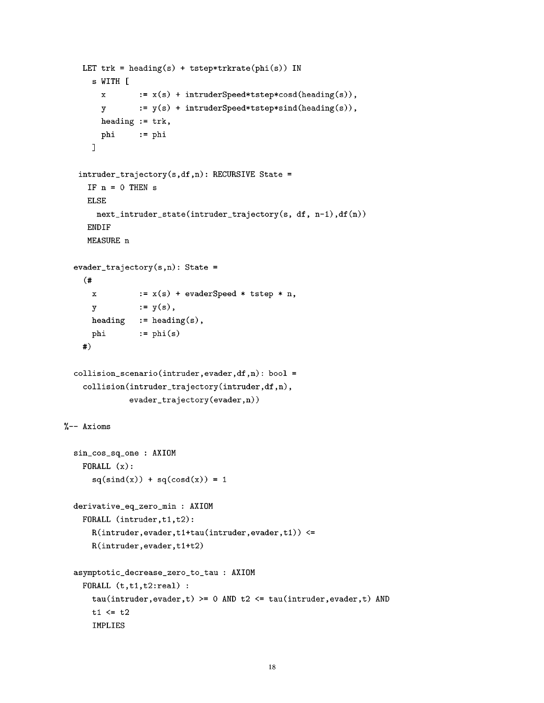```
LET trk = heading(s) + tstep*trkrate(phi(s)) IN
      s WITH [
        x := x(s) + intruderSpeed*tstep*cosd(heading(s)),
        y : = y(s) + intruderSpeed*tstep*sind(heading(s)),heading := trk,
        phi := phi
      ]
   intruder_trajectory(s,df,n): RECURSIVE State =
     IF n = 0 THEN sELSE
       next_intruder_state(intruder_trajectory(s, df, n-1),df(n))
     ENDIF
     MEASURE n
  evader_trajectory(s,n): State =
    (#
      \mathbf xY
      heading
      phi
    #)
                := x(s) + evaderSpeed * tstep * n,
                := y(s),
               := heading(s),
                := phi(s)collision\_scenario(intruder,evader,df, n): bool =collision(intruder_trajectory(intruder,df,n),
              evader_trajectory(evader,n))
%-- Axioms
  sin_cos_sq_one : AXIOM
    FORALL (x):
      sq(sind(x)) + sq(cosd(x)) = 1derivative_eq_zero_min : AXIOM
    FORALL (intruder,t1,t2):
      R(intruder,evader,tl+tau(intruder,evader,tl)) <=
      R(intruder,evader,tl+t2)
  asymptotic_decrease_zero_to_tau : AXIOM
    FORALL (t,t1,t2:real):
      tau(intruder,evader, t) >= 0 AND t2 \leq \tau tau(intruder, evader, t) AND
      t1 \leq t2IMPLIES
```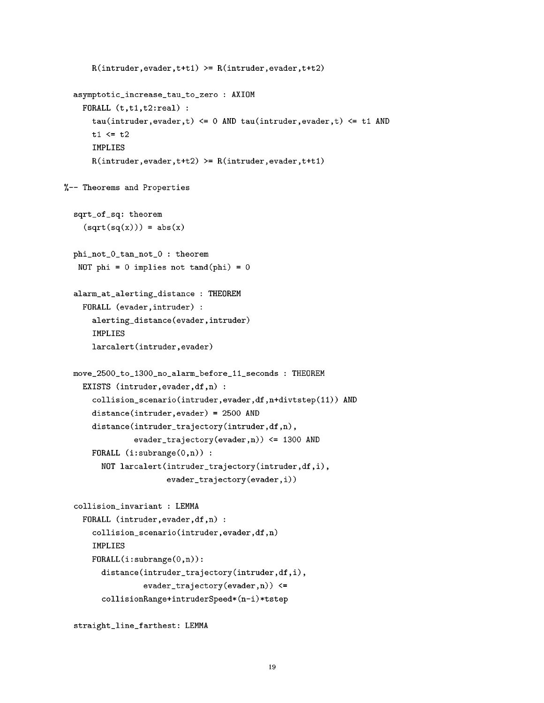```
R(intruder,evader, t+t1) \ge R(intruder,evader, t+t2)asymptotic_increase_tau to zero : AXIOM
   FORALL (t,t1,t2:real):
      tau(intruder,evader,t) <= 0 AND tau(intruder,evader,t) <= tl AND
      t1 \leq t2IMPLIES
      R(intruder,evader, t+t2) \ge R(intruder,evader, t+t1)%-- Theorems and Properties
  sqrt_of_sq: theorem
    (sqrt(sq(x))) = abs(x)phi_not_O_tan_not_O : theorem
   NOT phi = 0 implies not tand(phi) = 0alarm at alerting_distance : THEOREM
   FORALL (evader,intruder) :
      alerting_distance(evader,intruder)
      IMPLIES
      larcalert(intruder,evader)
  move_2500_to_1300_no_alarm_before ii seconds : THEOREM
   EXISTS (intruder, evader, df, n) :
      collision_scenario(intruder,evader,df,n+divtstep(11)) AND
      distance(intruder,evader) = 2500 AND
      distance(intruder_trajectory(intruder,df,n),
               evader_trajectory(evader,n)) <= 1300 AND
      FORALL (i:subrange(0,n)):
        NOT larcalert(intruder_trajectory(intruder,df,i),
                      evader_trajectory(evader,i))
  collision_invariant : LEMMA
   FORALL (intruder, evader, df, n) :
      collision_scenario(intruder,evader,df,n)
      IMPLIES
      FORALL(i:subrange(O,n)):
        distance(intruder_trajectory(intruder,df,i),
                 evader_trajectory(evader,n)) <=
        collisionRange+intruderSpeed*(n-i)*tstep
```

```
straight_line_farthest: LEMMA
```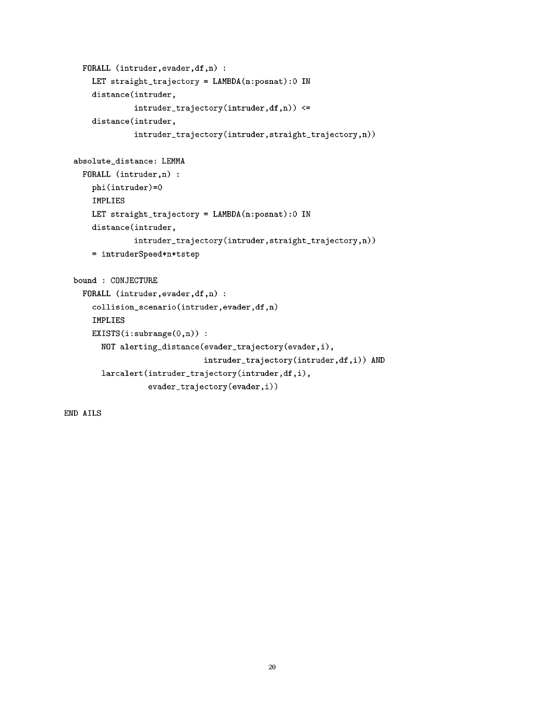```
FORALL (intruder, evader, df,n) :
    LET straight_trajectory = LAMBDA(n:posnat):0 IN
   distance(intruder,
             intruder\_trajectory(intruder,df,n)) \leqdistance(intruder,
             intruder_trajectory(intruder,straight_trajectory,n))
absolute_distance: LEMMA
 FORALL (intruder,n) :
   phi(intruder)=0
    IMPLIES
   LET straight_trajectory = LAMBDA(n:posnat):0 IN
    distance(intruder,
             intruder_trajectory(intruder,straight_trajectory,n))
   = intruderSpeed*n*tstep
bound: CONJECTURE
 FORALL (intruder, evader, df,n) :
    collision_scenario(intruder,evader,df,n)
    IMPLIES
   EXISTS(i:subrange(0,n)):
      NOT alerting_distance(evader_trajectory(evader,i),
                            intruder_trajectory(intruder,df,i)) AND
      larcalert(intruder_trajectory(intruder,df,i),
                evader_trajectory(evader,i))
```
ENDAILS